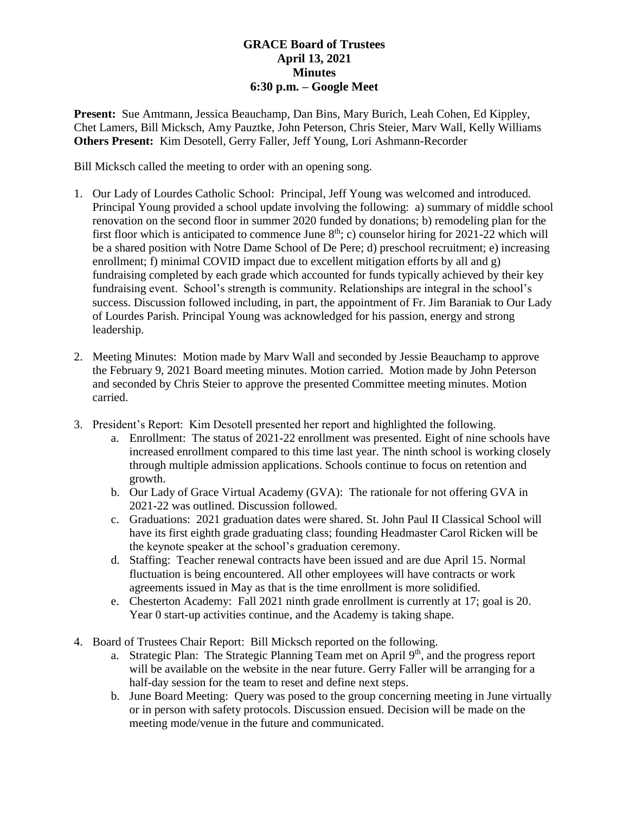## **GRACE Board of Trustees April 13, 2021 Minutes 6:30 p.m. – Google Meet**

**Present:** Sue Amtmann, Jessica Beauchamp, Dan Bins, Mary Burich, Leah Cohen, Ed Kippley, Chet Lamers, Bill Micksch, Amy Pauztke, John Peterson, Chris Steier, Marv Wall, Kelly Williams **Others Present:** Kim Desotell, Gerry Faller, Jeff Young, Lori Ashmann-Recorder

Bill Micksch called the meeting to order with an opening song.

- 1. Our Lady of Lourdes Catholic School: Principal, Jeff Young was welcomed and introduced. Principal Young provided a school update involving the following: a) summary of middle school renovation on the second floor in summer 2020 funded by donations; b) remodeling plan for the first floor which is anticipated to commence June  $8<sup>th</sup>$ ; c) counselor hiring for 2021-22 which will be a shared position with Notre Dame School of De Pere; d) preschool recruitment; e) increasing enrollment; f) minimal COVID impact due to excellent mitigation efforts by all and g) fundraising completed by each grade which accounted for funds typically achieved by their key fundraising event. School's strength is community. Relationships are integral in the school's success. Discussion followed including, in part, the appointment of Fr. Jim Baraniak to Our Lady of Lourdes Parish. Principal Young was acknowledged for his passion, energy and strong leadership.
- 2. Meeting Minutes: Motion made by Marv Wall and seconded by Jessie Beauchamp to approve the February 9, 2021 Board meeting minutes. Motion carried. Motion made by John Peterson and seconded by Chris Steier to approve the presented Committee meeting minutes. Motion carried.
- 3. President's Report: Kim Desotell presented her report and highlighted the following.
	- a. Enrollment: The status of 2021-22 enrollment was presented. Eight of nine schools have increased enrollment compared to this time last year. The ninth school is working closely through multiple admission applications. Schools continue to focus on retention and growth.
	- b. Our Lady of Grace Virtual Academy (GVA): The rationale for not offering GVA in 2021-22 was outlined. Discussion followed.
	- c. Graduations: 2021 graduation dates were shared. St. John Paul II Classical School will have its first eighth grade graduating class; founding Headmaster Carol Ricken will be the keynote speaker at the school's graduation ceremony.
	- d. Staffing: Teacher renewal contracts have been issued and are due April 15. Normal fluctuation is being encountered. All other employees will have contracts or work agreements issued in May as that is the time enrollment is more solidified.
	- e. Chesterton Academy: Fall 2021 ninth grade enrollment is currently at 17; goal is 20. Year 0 start-up activities continue, and the Academy is taking shape.
- 4. Board of Trustees Chair Report: Bill Micksch reported on the following.
	- a. Strategic Plan: The Strategic Planning Team met on April  $9<sup>th</sup>$ , and the progress report will be available on the website in the near future. Gerry Faller will be arranging for a half-day session for the team to reset and define next steps.
	- b. June Board Meeting: Query was posed to the group concerning meeting in June virtually or in person with safety protocols. Discussion ensued. Decision will be made on the meeting mode/venue in the future and communicated.